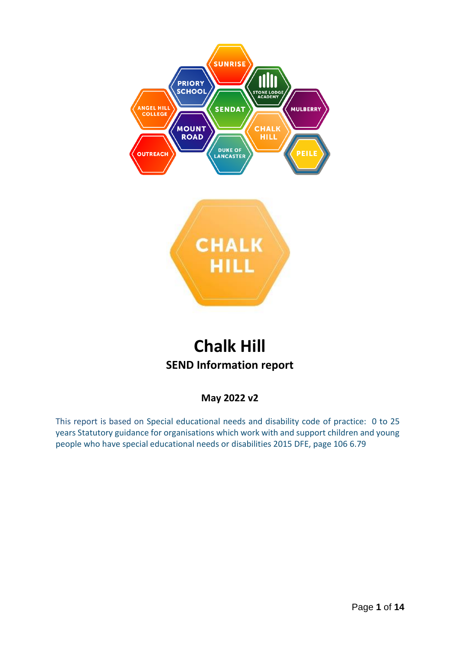



# **Chalk Hill SEND Information report**

## **May 2022 v2**

This report is based on Special educational needs and disability code of practice: 0 to 25 years Statutory guidance for organisations which work with and support children and young people who have special educational needs or disabilities 2015 DFE, page 106 6.79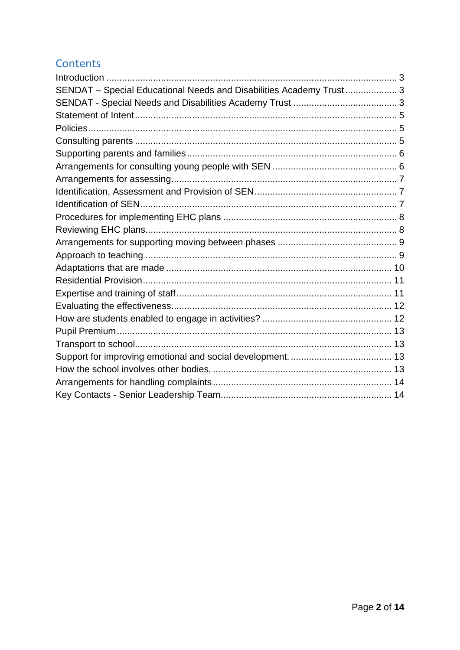# Contents

| SENDAT - Special Educational Needs and Disabilities Academy Trust 3 |  |
|---------------------------------------------------------------------|--|
|                                                                     |  |
|                                                                     |  |
|                                                                     |  |
|                                                                     |  |
|                                                                     |  |
|                                                                     |  |
|                                                                     |  |
|                                                                     |  |
|                                                                     |  |
|                                                                     |  |
|                                                                     |  |
|                                                                     |  |
|                                                                     |  |
|                                                                     |  |
|                                                                     |  |
|                                                                     |  |
|                                                                     |  |
|                                                                     |  |
|                                                                     |  |
|                                                                     |  |
|                                                                     |  |
|                                                                     |  |
|                                                                     |  |
|                                                                     |  |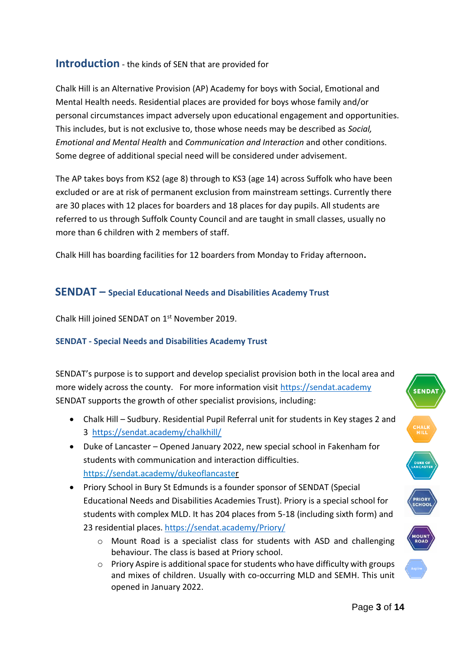#### <span id="page-2-0"></span>**Introduction** - the kinds of SEN that are provided for

Chalk Hill is an Alternative Provision (AP) Academy for boys with Social, Emotional and Mental Health needs. Residential places are provided for boys whose family and/or personal circumstances impact adversely upon educational engagement and opportunities. This includes, but is not exclusive to, those whose needs may be described as *Social, Emotional and Mental Health* and *Communication and Interaction* and other conditions. Some degree of additional special need will be considered under advisement.

The AP takes boys from KS2 (age 8) through to KS3 (age 14) across Suffolk who have been excluded or are at risk of permanent exclusion from mainstream settings. Currently there are 30 places with 12 places for boarders and 18 places for day pupils. All students are referred to us through Suffolk County Council and are taught in small classes, usually no more than 6 children with 2 members of staff.

Chalk Hill has boarding facilities for 12 boarders from Monday to Friday afternoon**.**

#### <span id="page-2-1"></span>**SENDAT – Special Educational Needs and Disabilities Academy Trust**

Chalk Hill joined SENDAT on 1st November 2019.

#### <span id="page-2-2"></span>**SENDAT - Special Needs and Disabilities Academy Trust**

SENDAT's purpose is to support and develop specialist provision both in the local area and more widely across the county. For more information visit [https://sendat.academy](https://sendat.academy/) SENDAT supports the growth of other specialist provisions, including:

- Chalk Hill Sudbury. Residential Pupil Referral unit for students in Key stages 2 and 3 <https://sendat.academy/chalkhill/>
- Duke of Lancaster Opened January 2022, new special school in Fakenham for students with communication and interaction difficulties. <https://sendat.academy/dukeoflancaster>
- Priory School in Bury St Edmunds is a founder sponsor of SENDAT (Special Educational Needs and Disabilities Academies Trust). Priory is a special school for students with complex MLD. It has 204 places from 5-18 (including sixth form) and 23 residential places.<https://sendat.academy/Priory/>
	- o Mount Road is a specialist class for students with ASD and challenging behaviour. The class is based at Priory school.
	- $\circ$  Priory Aspire is additional space for students who have difficulty with groups and mixes of children. Usually with co-occurring MLD and SEMH. This unit opened in January 2022.

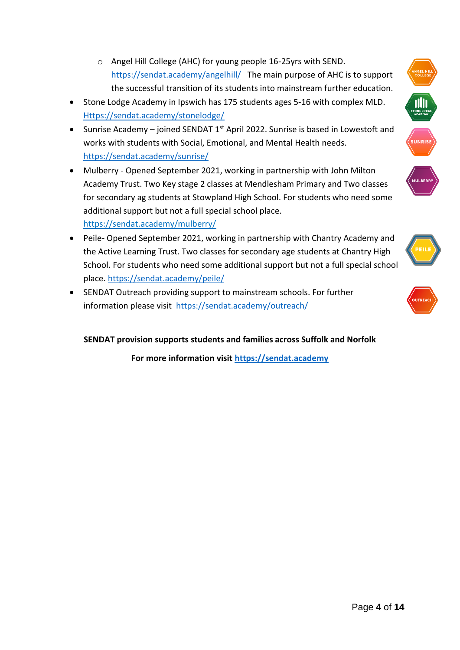- o Angel Hill College (AHC) for young people 16-25yrs with SEND. <https://sendat.academy/angelhill/>The main purpose of AHC is to support the successful transition of its students into mainstream further education.
- Stone Lodge Academy in Ipswich has 175 students ages 5-16 with complex MLD. [Https://sendat.academy/stonelodge/](https://sendat.academy/stonelodge/)
- Sunrise Academy joined SENDAT  $1<sup>st</sup>$  April 2022. Sunrise is based in Lowestoft and works with students with Social, Emotional, and Mental Health needs. <https://sendat.academy/sunrise/>
- Mulberry Opened September 2021, working in partnership with John Milton Academy Trust. Two Key stage 2 classes at Mendlesham Primary and Two classes for secondary ag students at Stowpland High School. For students who need some additional support but not a full special school place. <https://sendat.academy/mulberry/>
- Peile- Opened September 2021, working in partnership with Chantry Academy and the Active Learning Trust. Two classes for secondary age students at Chantry High School. For students who need some additional support but not a full special school place.<https://sendat.academy/peile/>
- SENDAT Outreach providing support to mainstream schools. For further information please visit <https://sendat.academy/outreach/>

**SENDAT provision supports students and families across Suffolk and Norfolk**

**For more information visit [https://sendat.academy](https://sendat.academy/)**





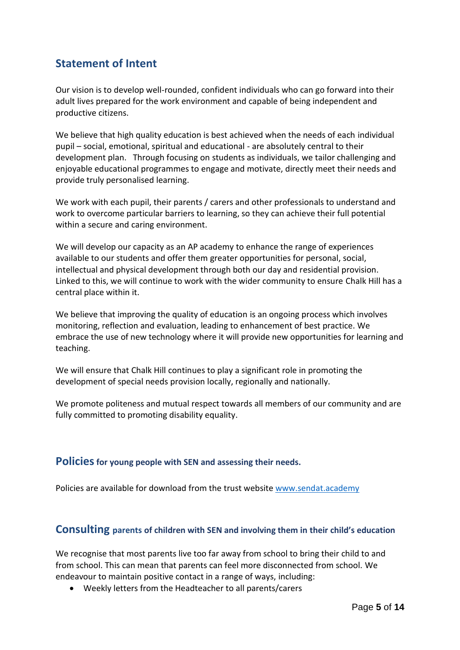# <span id="page-4-0"></span>**Statement of Intent**

Our vision is to develop well-rounded, confident individuals who can go forward into their adult lives prepared for the work environment and capable of being independent and productive citizens.

We believe that high quality education is best achieved when the needs of each individual pupil – social, emotional, spiritual and educational - are absolutely central to their development plan. Through focusing on students as individuals, we tailor challenging and enjoyable educational programmes to engage and motivate, directly meet their needs and provide truly personalised learning.

We work with each pupil, their parents / carers and other professionals to understand and work to overcome particular barriers to learning, so they can achieve their full potential within a secure and caring environment.

We will develop our capacity as an AP academy to enhance the range of experiences available to our students and offer them greater opportunities for personal, social, intellectual and physical development through both our day and residential provision. Linked to this, we will continue to work with the wider community to ensure Chalk Hill has a central place within it.

We believe that improving the quality of education is an ongoing process which involves monitoring, reflection and evaluation, leading to enhancement of best practice. We embrace the use of new technology where it will provide new opportunities for learning and teaching.

We will ensure that Chalk Hill continues to play a significant role in promoting the development of special needs provision locally, regionally and nationally.

We promote politeness and mutual respect towards all members of our community and are fully committed to promoting disability equality.

#### <span id="page-4-1"></span>**Policiesfor young people with SEN and assessing their needs.**

Policies are available for download from the trust website [www.sendat.academy](http://www.sendat.academy/)

#### <span id="page-4-2"></span>**Consulting parents of children with SEN and involving them in their child's education**

We recognise that most parents live too far away from school to bring their child to and from school. This can mean that parents can feel more disconnected from school. We endeavour to maintain positive contact in a range of ways, including:

• Weekly letters from the Headteacher to all parents/carers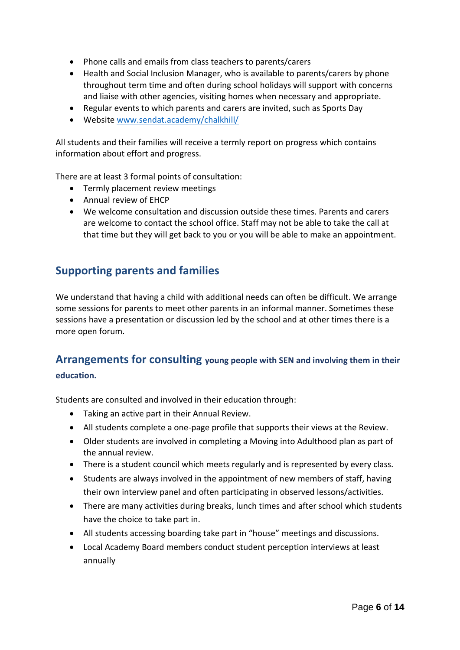- Phone calls and emails from class teachers to parents/carers
- Health and Social Inclusion Manager, who is available to parents/carers by phone throughout term time and often during school holidays will support with concerns and liaise with other agencies, visiting homes when necessary and appropriate.
- Regular events to which parents and carers are invited, such as Sports Day
- Website [www.sendat.academy/chalkhill/](http://www.sendat.academy/chalkhill/)

All students and their families will receive a termly report on progress which contains information about effort and progress.

There are at least 3 formal points of consultation:

- Termly placement review meetings
- Annual review of EHCP
- We welcome consultation and discussion outside these times. Parents and carers are welcome to contact the school office. Staff may not be able to take the call at that time but they will get back to you or you will be able to make an appointment.

#### <span id="page-5-0"></span>**Supporting parents and families**

We understand that having a child with additional needs can often be difficult. We arrange some sessions for parents to meet other parents in an informal manner. Sometimes these sessions have a presentation or discussion led by the school and at other times there is a more open forum.

# <span id="page-5-1"></span>**Arrangements for consulting young people with SEN and involving them in their**

**education.**

Students are consulted and involved in their education through:

- Taking an active part in their Annual Review.
- All students complete a one-page profile that supports their views at the Review.
- Older students are involved in completing a Moving into Adulthood plan as part of the annual review.
- There is a student council which meets regularly and is represented by every class.
- Students are always involved in the appointment of new members of staff, having their own interview panel and often participating in observed lessons/activities.
- There are many activities during breaks, lunch times and after school which students have the choice to take part in.
- All students accessing boarding take part in "house" meetings and discussions.
- Local Academy Board members conduct student perception interviews at least annually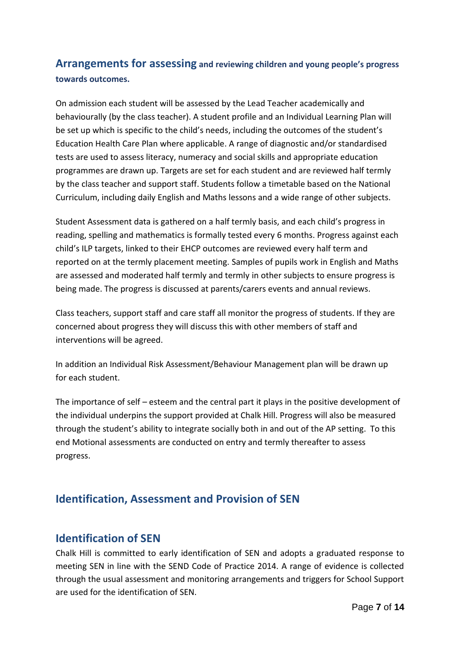# <span id="page-6-0"></span>**Arrangements for assessing and reviewing children and young people's progress towards outcomes.**

On admission each student will be assessed by the Lead Teacher academically and behaviourally (by the class teacher). A student profile and an Individual Learning Plan will be set up which is specific to the child's needs, including the outcomes of the student's Education Health Care Plan where applicable. A range of diagnostic and/or standardised tests are used to assess literacy, numeracy and social skills and appropriate education programmes are drawn up. Targets are set for each student and are reviewed half termly by the class teacher and support staff. Students follow a timetable based on the National Curriculum, including daily English and Maths lessons and a wide range of other subjects.

Student Assessment data is gathered on a half termly basis, and each child's progress in reading, spelling and mathematics is formally tested every 6 months. Progress against each child's ILP targets, linked to their EHCP outcomes are reviewed every half term and reported on at the termly placement meeting. Samples of pupils work in English and Maths are assessed and moderated half termly and termly in other subjects to ensure progress is being made. The progress is discussed at parents/carers events and annual reviews.

Class teachers, support staff and care staff all monitor the progress of students. If they are concerned about progress they will discuss this with other members of staff and interventions will be agreed.

In addition an Individual Risk Assessment/Behaviour Management plan will be drawn up for each student.

The importance of self – esteem and the central part it plays in the positive development of the individual underpins the support provided at Chalk Hill. Progress will also be measured through the student's ability to integrate socially both in and out of the AP setting. To this end Motional assessments are conducted on entry and termly thereafter to assess progress.

# <span id="page-6-1"></span>**Identification, Assessment and Provision of SEN**

## <span id="page-6-2"></span>**Identification of SEN**

Chalk Hill is committed to early identification of SEN and adopts a graduated response to meeting SEN in line with the SEND Code of Practice 2014. A range of evidence is collected through the usual assessment and monitoring arrangements and triggers for School Support are used for the identification of SEN.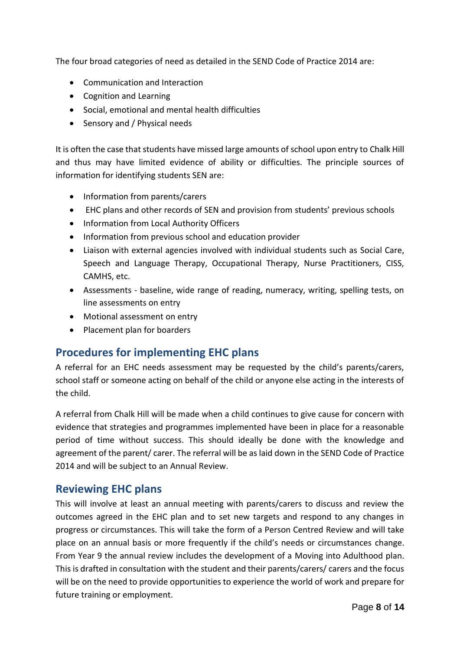The four broad categories of need as detailed in the SEND Code of Practice 2014 are:

- Communication and Interaction
- Cognition and Learning
- Social, emotional and mental health difficulties
- Sensory and / Physical needs

It is often the case that students have missed large amounts of school upon entry to Chalk Hill and thus may have limited evidence of ability or difficulties. The principle sources of information for identifying students SEN are:

- Information from parents/carers
- EHC plans and other records of SEN and provision from students' previous schools
- Information from Local Authority Officers
- Information from previous school and education provider
- Liaison with external agencies involved with individual students such as Social Care, Speech and Language Therapy, Occupational Therapy, Nurse Practitioners, CISS, CAMHS, etc.
- Assessments baseline, wide range of reading, numeracy, writing, spelling tests, on line assessments on entry
- Motional assessment on entry
- Placement plan for boarders

## <span id="page-7-0"></span>**Procedures for implementing EHC plans**

A referral for an EHC needs assessment may be requested by the child's parents/carers, school staff or someone acting on behalf of the child or anyone else acting in the interests of the child.

A referral from Chalk Hill will be made when a child continues to give cause for concern with evidence that strategies and programmes implemented have been in place for a reasonable period of time without success. This should ideally be done with the knowledge and agreement of the parent/ carer. The referral will be as laid down in the SEND Code of Practice 2014 and will be subject to an Annual Review.

#### <span id="page-7-1"></span>**Reviewing EHC plans**

This will involve at least an annual meeting with parents/carers to discuss and review the outcomes agreed in the EHC plan and to set new targets and respond to any changes in progress or circumstances. This will take the form of a Person Centred Review and will take place on an annual basis or more frequently if the child's needs or circumstances change. From Year 9 the annual review includes the development of a Moving into Adulthood plan. This is drafted in consultation with the student and their parents/carers/ carers and the focus will be on the need to provide opportunities to experience the world of work and prepare for future training or employment.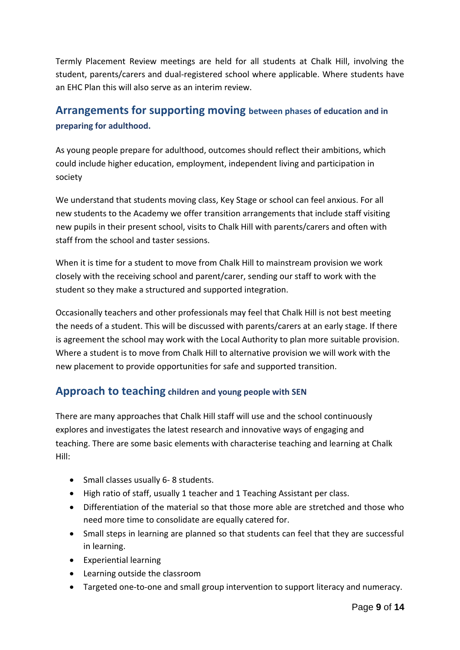Termly Placement Review meetings are held for all students at Chalk Hill, involving the student, parents/carers and dual-registered school where applicable. Where students have an EHC Plan this will also serve as an interim review.

# <span id="page-8-0"></span>**Arrangements for supporting moving between phases of education and in preparing for adulthood.**

As young people prepare for adulthood, outcomes should reflect their ambitions, which could include higher education, employment, independent living and participation in society

We understand that students moving class, Key Stage or school can feel anxious. For all new students to the Academy we offer transition arrangements that include staff visiting new pupils in their present school, visits to Chalk Hill with parents/carers and often with staff from the school and taster sessions.

When it is time for a student to move from Chalk Hill to mainstream provision we work closely with the receiving school and parent/carer, sending our staff to work with the student so they make a structured and supported integration.

Occasionally teachers and other professionals may feel that Chalk Hill is not best meeting the needs of a student. This will be discussed with parents/carers at an early stage. If there is agreement the school may work with the Local Authority to plan more suitable provision. Where a student is to move from Chalk Hill to alternative provision we will work with the new placement to provide opportunities for safe and supported transition.

#### <span id="page-8-1"></span>**Approach to teaching children and young people with SEN**

There are many approaches that Chalk Hill staff will use and the school continuously explores and investigates the latest research and innovative ways of engaging and teaching. There are some basic elements with characterise teaching and learning at Chalk Hill:

- Small classes usually 6- 8 students.
- High ratio of staff, usually 1 teacher and 1 Teaching Assistant per class.
- Differentiation of the material so that those more able are stretched and those who need more time to consolidate are equally catered for.
- Small steps in learning are planned so that students can feel that they are successful in learning.
- Experiential learning
- Learning outside the classroom
- Targeted one-to-one and small group intervention to support literacy and numeracy.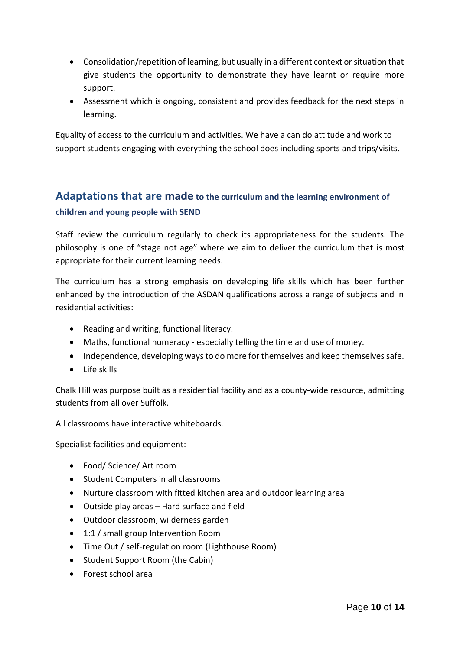- Consolidation/repetition of learning, but usually in a different context or situation that give students the opportunity to demonstrate they have learnt or require more support.
- Assessment which is ongoing, consistent and provides feedback for the next steps in learning.

Equality of access to the curriculum and activities. We have a can do attitude and work to support students engaging with everything the school does including sports and trips/visits.

# <span id="page-9-0"></span>**Adaptations that are made to the curriculum and the learning environment of children and young people with SEND**

Staff review the curriculum regularly to check its appropriateness for the students. The philosophy is one of "stage not age" where we aim to deliver the curriculum that is most appropriate for their current learning needs.

The curriculum has a strong emphasis on developing life skills which has been further enhanced by the introduction of the ASDAN qualifications across a range of subjects and in residential activities:

- Reading and writing, functional literacy.
- Maths, functional numeracy especially telling the time and use of money.
- Independence, developing ways to do more for themselves and keep themselves safe.
- Life skills

Chalk Hill was purpose built as a residential facility and as a county-wide resource, admitting students from all over Suffolk.

All classrooms have interactive whiteboards.

Specialist facilities and equipment:

- Food/ Science/ Art room
- Student Computers in all classrooms
- Nurture classroom with fitted kitchen area and outdoor learning area
- Outside play areas Hard surface and field
- Outdoor classroom, wilderness garden
- 1:1 / small group Intervention Room
- Time Out / self-regulation room (Lighthouse Room)
- Student Support Room (the Cabin)
- Forest school area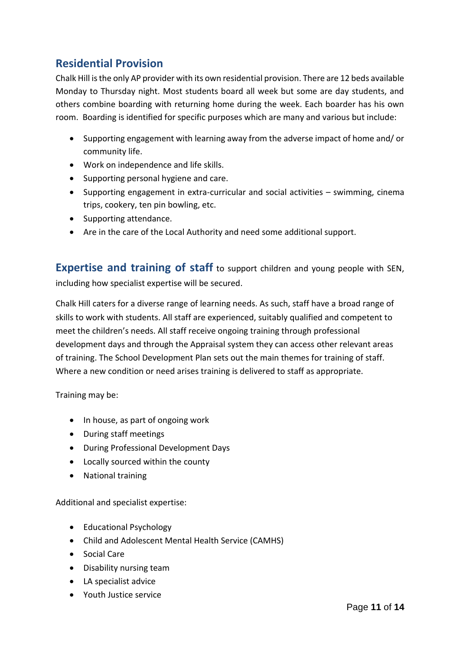# <span id="page-10-0"></span>**Residential Provision**

Chalk Hill is the only AP provider with its own residential provision. There are 12 beds available Monday to Thursday night. Most students board all week but some are day students, and others combine boarding with returning home during the week. Each boarder has his own room. Boarding is identified for specific purposes which are many and various but include:

- Supporting engagement with learning away from the adverse impact of home and/ or community life.
- Work on independence and life skills.
- Supporting personal hygiene and care.
- Supporting engagement in extra-curricular and social activities swimming, cinema trips, cookery, ten pin bowling, etc.
- Supporting attendance.
- Are in the care of the Local Authority and need some additional support.

<span id="page-10-1"></span>**Expertise and training of staff** to support children and young people with SEN, including how specialist expertise will be secured.

Chalk Hill caters for a diverse range of learning needs. As such, staff have a broad range of skills to work with students. All staff are experienced, suitably qualified and competent to meet the children's needs. All staff receive ongoing training through professional development days and through the Appraisal system they can access other relevant areas of training. The School Development Plan sets out the main themes for training of staff. Where a new condition or need arises training is delivered to staff as appropriate.

Training may be:

- In house, as part of ongoing work
- During staff meetings
- During Professional Development Days
- Locally sourced within the county
- National training

Additional and specialist expertise:

- Educational Psychology
- Child and Adolescent Mental Health Service (CAMHS)
- Social Care
- Disability nursing team
- LA specialist advice
- Youth Justice service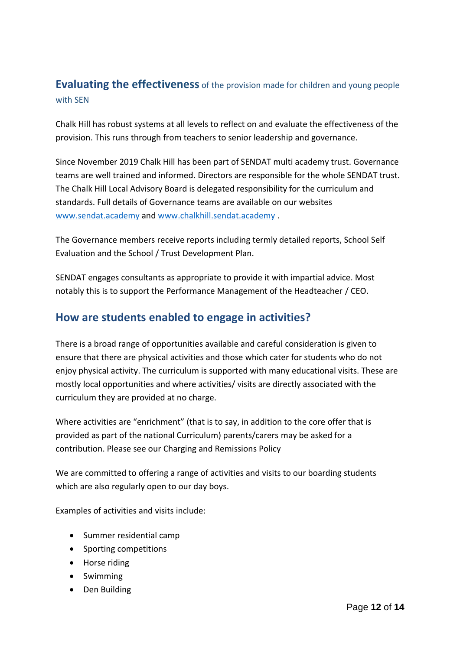# <span id="page-11-0"></span>**Evaluating the effectiveness** of the provision made for children and young people with SEN

Chalk Hill has robust systems at all levels to reflect on and evaluate the effectiveness of the provision. This runs through from teachers to senior leadership and governance.

Since November 2019 Chalk Hill has been part of SENDAT multi academy trust. Governance teams are well trained and informed. Directors are responsible for the whole SENDAT trust. The Chalk Hill Local Advisory Board is delegated responsibility for the curriculum and standards. Full details of Governance teams are available on our websites [www.sendat.academy](http://www.sendat.academy/) and [www.chalkhill.sendat.academy](http://www.chalkhill.sendat.academy/) .

The Governance members receive reports including termly detailed reports, School Self Evaluation and the School / Trust Development Plan.

SENDAT engages consultants as appropriate to provide it with impartial advice. Most notably this is to support the Performance Management of the Headteacher / CEO.

## <span id="page-11-1"></span>**How are students enabled to engage in activities?**

There is a broad range of opportunities available and careful consideration is given to ensure that there are physical activities and those which cater for students who do not enjoy physical activity. The curriculum is supported with many educational visits. These are mostly local opportunities and where activities/ visits are directly associated with the curriculum they are provided at no charge.

Where activities are "enrichment" (that is to say, in addition to the core offer that is provided as part of the national Curriculum) parents/carers may be asked for a contribution. Please see our Charging and Remissions Policy

We are committed to offering a range of activities and visits to our boarding students which are also regularly open to our day boys.

Examples of activities and visits include:

- Summer residential camp
- Sporting competitions
- Horse riding
- Swimming
- Den Building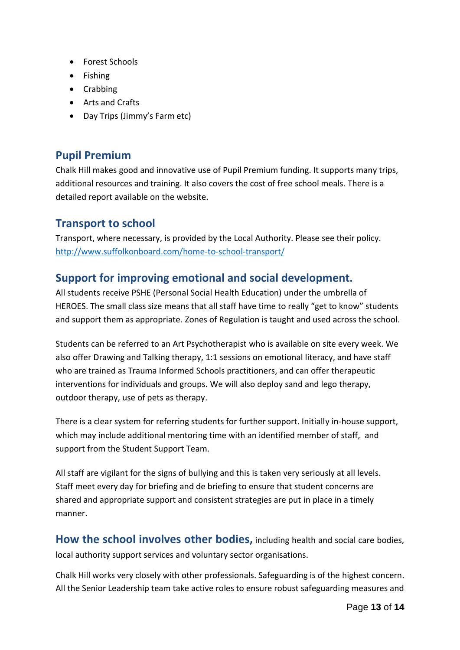- Forest Schools
- Fishing
- Crabbing
- Arts and Crafts
- Day Trips (Jimmy's Farm etc)

#### <span id="page-12-0"></span>**Pupil Premium**

Chalk Hill makes good and innovative use of Pupil Premium funding. It supports many trips, additional resources and training. It also covers the cost of free school meals. There is a detailed report available on the website.

## <span id="page-12-1"></span>**Transport to school**

Transport, where necessary, is provided by the Local Authority. Please see their policy. <http://www.suffolkonboard.com/home-to-school-transport/>

# <span id="page-12-2"></span>**Support for improving emotional and social development.**

All students receive PSHE (Personal Social Health Education) under the umbrella of HEROES. The small class size means that all staff have time to really "get to know" students and support them as appropriate. Zones of Regulation is taught and used across the school.

Students can be referred to an Art Psychotherapist who is available on site every week. We also offer Drawing and Talking therapy, 1:1 sessions on emotional literacy, and have staff who are trained as Trauma Informed Schools practitioners, and can offer therapeutic interventions for individuals and groups. We will also deploy sand and lego therapy, outdoor therapy, use of pets as therapy.

There is a clear system for referring students for further support. Initially in-house support, which may include additional mentoring time with an identified member of staff, and support from the Student Support Team.

All staff are vigilant for the signs of bullying and this is taken very seriously at all levels. Staff meet every day for briefing and de briefing to ensure that student concerns are shared and appropriate support and consistent strategies are put in place in a timely manner.

<span id="page-12-3"></span>**How the school involves other bodies,** including health and social care bodies, local authority support services and voluntary sector organisations.

Chalk Hill works very closely with other professionals. Safeguarding is of the highest concern. All the Senior Leadership team take active roles to ensure robust safeguarding measures and